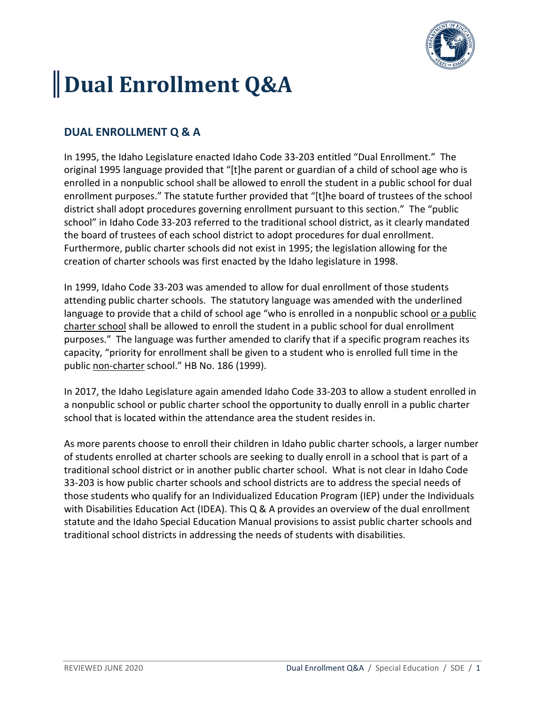

# **Dual Enrollment Q&A**

## **DUAL ENROLLMENT Q & A**

In 1995, the Idaho Legislature enacted Idaho Code 33-203 entitled "Dual Enrollment." The original 1995 language provided that "[t]he parent or guardian of a child of school age who is enrolled in a nonpublic school shall be allowed to enroll the student in a public school for dual enrollment purposes." The statute further provided that "[t]he board of trustees of the school district shall adopt procedures governing enrollment pursuant to this section." The "public school" in Idaho Code 33-203 referred to the traditional school district, as it clearly mandated the board of trustees of each school district to adopt procedures for dual enrollment. Furthermore, public charter schools did not exist in 1995; the legislation allowing for the creation of charter schools was first enacted by the Idaho legislature in 1998.

In 1999, Idaho Code 33-203 was amended to allow for dual enrollment of those students attending public charter schools. The statutory language was amended with the underlined language to provide that a child of school age "who is enrolled in a nonpublic school or a public charter school shall be allowed to enroll the student in a public school for dual enrollment purposes." The language was further amended to clarify that if a specific program reaches its capacity, "priority for enrollment shall be given to a student who is enrolled full time in the public non-charter school." HB No. 186 (1999).

In 2017, the Idaho Legislature again amended Idaho Code 33-203 to allow a student enrolled in a nonpublic school or public charter school the opportunity to dually enroll in a public charter school that is located within the attendance area the student resides in.

As more parents choose to enroll their children in Idaho public charter schools, a larger number of students enrolled at charter schools are seeking to dually enroll in a school that is part of a traditional school district or in another public charter school. What is not clear in Idaho Code 33-203 is how public charter schools and school districts are to address the special needs of those students who qualify for an Individualized Education Program (IEP) under the Individuals with Disabilities Education Act (IDEA). This Q & A provides an overview of the dual enrollment statute and the Idaho Special Education Manual provisions to assist public charter schools and traditional school districts in addressing the needs of students with disabilities.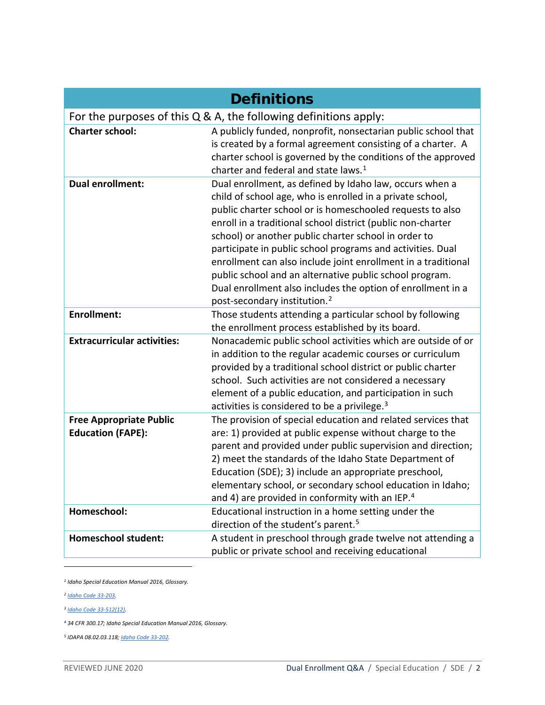|                                                            | <b>Definitions</b>                                                                                                                                                                                                                                                                                                                                                                                                                                                                                                                                                                                            |
|------------------------------------------------------------|---------------------------------------------------------------------------------------------------------------------------------------------------------------------------------------------------------------------------------------------------------------------------------------------------------------------------------------------------------------------------------------------------------------------------------------------------------------------------------------------------------------------------------------------------------------------------------------------------------------|
|                                                            | For the purposes of this $Q$ & A, the following definitions apply:                                                                                                                                                                                                                                                                                                                                                                                                                                                                                                                                            |
| <b>Charter school:</b>                                     | A publicly funded, nonprofit, nonsectarian public school that<br>is created by a formal agreement consisting of a charter. A<br>charter school is governed by the conditions of the approved<br>charter and federal and state laws. <sup>1</sup>                                                                                                                                                                                                                                                                                                                                                              |
| <b>Dual enrollment:</b>                                    | Dual enrollment, as defined by Idaho law, occurs when a<br>child of school age, who is enrolled in a private school,<br>public charter school or is homeschooled requests to also<br>enroll in a traditional school district (public non-charter<br>school) or another public charter school in order to<br>participate in public school programs and activities. Dual<br>enrollment can also include joint enrollment in a traditional<br>public school and an alternative public school program.<br>Dual enrollment also includes the option of enrollment in a<br>post-secondary institution. <sup>2</sup> |
| <b>Enrollment:</b>                                         | Those students attending a particular school by following<br>the enrollment process established by its board.                                                                                                                                                                                                                                                                                                                                                                                                                                                                                                 |
| <b>Extracurricular activities:</b>                         | Nonacademic public school activities which are outside of or<br>in addition to the regular academic courses or curriculum<br>provided by a traditional school district or public charter<br>school. Such activities are not considered a necessary<br>element of a public education, and participation in such<br>activities is considered to be a privilege. <sup>3</sup>                                                                                                                                                                                                                                    |
| <b>Free Appropriate Public</b><br><b>Education (FAPE):</b> | The provision of special education and related services that<br>are: 1) provided at public expense without charge to the<br>parent and provided under public supervision and direction;<br>2) meet the standards of the Idaho State Department of<br>Education (SDE); 3) include an appropriate preschool,<br>elementary school, or secondary school education in Idaho;<br>and 4) are provided in conformity with an IEP. <sup>4</sup>                                                                                                                                                                       |
| Homeschool:                                                | Educational instruction in a home setting under the<br>direction of the student's parent. <sup>5</sup>                                                                                                                                                                                                                                                                                                                                                                                                                                                                                                        |
| <b>Homeschool student:</b>                                 | A student in preschool through grade twelve not attending a<br>public or private school and receiving educational                                                                                                                                                                                                                                                                                                                                                                                                                                                                                             |

<span id="page-1-0"></span>*<sup>1</sup> Idaho Special Education Manual 2016, Glossary.* 

<span id="page-1-1"></span>*<sup>2</sup> [Idaho Code 33-203.](https://legislature.idaho.gov/idstat/Title33/T33CH2SECT33-203.htm)* 

<span id="page-1-2"></span>*<sup>3</sup> [Idaho Code 33-512\(12\).](https://legislature.idaho.gov/idstat/Title33/T33CH5SECT33-512.htm)* 

<span id="page-1-3"></span>*<sup>4</sup> 34 CFR 300.17; Idaho Special Education Manual 2016, Glossary.*

<span id="page-1-4"></span>*<sup>5</sup> IDAPA 08.02.03.118[; Idaho Code 33-202.](https://legislature.idaho.gov/idstat/Title33/T33CH2SECT33-202.htm)*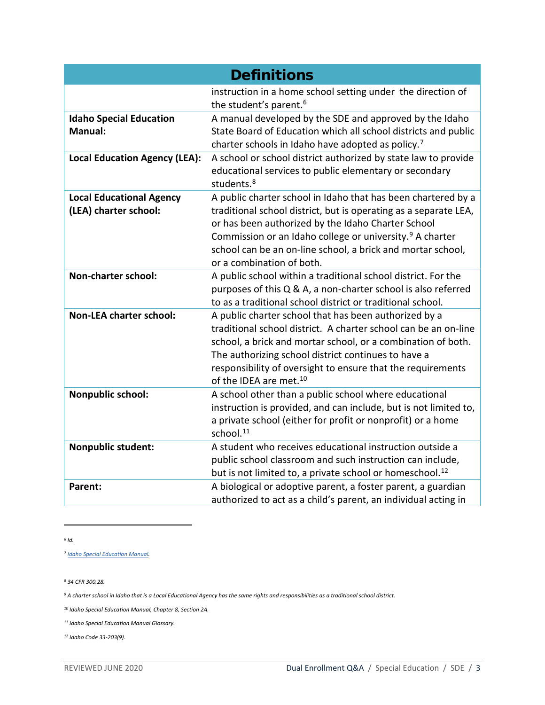|                                                          | <b>Definitions</b>                                                                                                                                                                                                                                                                                                                                          |
|----------------------------------------------------------|-------------------------------------------------------------------------------------------------------------------------------------------------------------------------------------------------------------------------------------------------------------------------------------------------------------------------------------------------------------|
|                                                          | instruction in a home school setting under the direction of<br>the student's parent. <sup>6</sup>                                                                                                                                                                                                                                                           |
| <b>Idaho Special Education</b><br><b>Manual:</b>         | A manual developed by the SDE and approved by the Idaho<br>State Board of Education which all school districts and public<br>charter schools in Idaho have adopted as policy. <sup>7</sup>                                                                                                                                                                  |
| <b>Local Education Agency (LEA):</b>                     | A school or school district authorized by state law to provide<br>educational services to public elementary or secondary<br>students. <sup>8</sup>                                                                                                                                                                                                          |
| <b>Local Educational Agency</b><br>(LEA) charter school: | A public charter school in Idaho that has been chartered by a<br>traditional school district, but is operating as a separate LEA,<br>or has been authorized by the Idaho Charter School<br>Commission or an Idaho college or university. <sup>9</sup> A charter<br>school can be an on-line school, a brick and mortar school,<br>or a combination of both. |
| Non-charter school:                                      | A public school within a traditional school district. For the<br>purposes of this Q & A, a non-charter school is also referred<br>to as a traditional school district or traditional school.                                                                                                                                                                |
| <b>Non-LEA charter school:</b>                           | A public charter school that has been authorized by a<br>traditional school district. A charter school can be an on-line<br>school, a brick and mortar school, or a combination of both.<br>The authorizing school district continues to have a<br>responsibility of oversight to ensure that the requirements<br>of the IDEA are met. <sup>10</sup>        |
| Nonpublic school:                                        | A school other than a public school where educational<br>instruction is provided, and can include, but is not limited to,<br>a private school (either for profit or nonprofit) or a home<br>school. <sup>11</sup>                                                                                                                                           |
| Nonpublic student:                                       | A student who receives educational instruction outside a<br>public school classroom and such instruction can include,<br>but is not limited to, a private school or homeschool. <sup>12</sup>                                                                                                                                                               |
| <b>Parent:</b>                                           | A biological or adoptive parent, a foster parent, a guardian<br>authorized to act as a child's parent, an individual acting in                                                                                                                                                                                                                              |

<span id="page-2-0"></span>*<sup>6</sup> Id.* 

<span id="page-2-1"></span>*<sup>7</sup> [Idaho Special Education Manual.](http://www.sde.idaho.gov/sped/sped-manual/)* 

<span id="page-2-2"></span>*<sup>8</sup> 34 CFR 300.28.*

<span id="page-2-3"></span>*<sup>9</sup> A charter school in Idaho that is a Local Educational Agency has the same rights and responsibilities as a traditional school district.* 

<span id="page-2-4"></span>*<sup>10</sup> Idaho Special Education Manual, Chapter 8, Section 2A.*

<span id="page-2-5"></span>*<sup>11</sup> Idaho Special Education Manual Glossary.*

<span id="page-2-6"></span>*<sup>12</sup> Idaho Code 33-203(9).*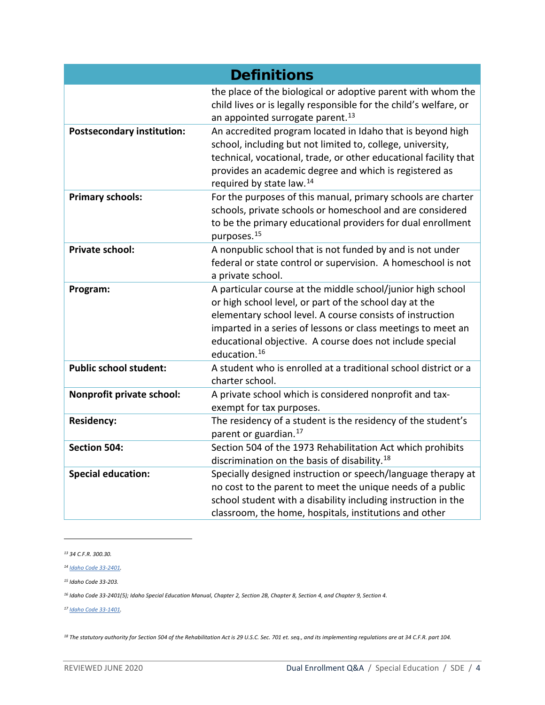|                                   | <b>Definitions</b>                                                                                                                                                                                                                                                                                                                |
|-----------------------------------|-----------------------------------------------------------------------------------------------------------------------------------------------------------------------------------------------------------------------------------------------------------------------------------------------------------------------------------|
|                                   | the place of the biological or adoptive parent with whom the<br>child lives or is legally responsible for the child's welfare, or<br>an appointed surrogate parent. <sup>13</sup>                                                                                                                                                 |
| <b>Postsecondary institution:</b> | An accredited program located in Idaho that is beyond high<br>school, including but not limited to, college, university,<br>technical, vocational, trade, or other educational facility that<br>provides an academic degree and which is registered as<br>required by state law. <sup>14</sup>                                    |
| <b>Primary schools:</b>           | For the purposes of this manual, primary schools are charter<br>schools, private schools or homeschool and are considered<br>to be the primary educational providers for dual enrollment<br>purposes. <sup>15</sup>                                                                                                               |
| <b>Private school:</b>            | A nonpublic school that is not funded by and is not under<br>federal or state control or supervision. A homeschool is not<br>a private school.                                                                                                                                                                                    |
| Program:                          | A particular course at the middle school/junior high school<br>or high school level, or part of the school day at the<br>elementary school level. A course consists of instruction<br>imparted in a series of lessons or class meetings to meet an<br>educational objective. A course does not include special<br>education. $16$ |
| <b>Public school student:</b>     | A student who is enrolled at a traditional school district or a<br>charter school.                                                                                                                                                                                                                                                |
| Nonprofit private school:         | A private school which is considered nonprofit and tax-<br>exempt for tax purposes.                                                                                                                                                                                                                                               |
| <b>Residency:</b>                 | The residency of a student is the residency of the student's<br>parent or guardian. <sup>17</sup>                                                                                                                                                                                                                                 |
| <b>Section 504:</b>               | Section 504 of the 1973 Rehabilitation Act which prohibits<br>discrimination on the basis of disability. <sup>18</sup>                                                                                                                                                                                                            |
| <b>Special education:</b>         | Specially designed instruction or speech/language therapy at<br>no cost to the parent to meet the unique needs of a public<br>school student with a disability including instruction in the<br>classroom, the home, hospitals, institutions and other                                                                             |

<span id="page-3-0"></span>*<sup>13</sup> 34 C.F.R. 300.30.*

<span id="page-3-4"></span>*<sup>17</sup> [Idaho Code 33-1401.](https://legislature.idaho.gov/idstat/Title33/T33CH14SECT33-1401.htm)* 

<span id="page-3-5"></span>*<sup>18</sup> The statutory authority for Section 504 of the Rehabilitation Act is 29 U.S.C. Sec. 701 et. seq., and its implementing regulations are at 34 C.F.R. part 104.*

<span id="page-3-1"></span>*<sup>14</sup> [Idaho Code 33-2401.](https://legislature.idaho.gov/idstat/Title33/T33CH24SECT33-2401.htm)* 

<span id="page-3-2"></span>*<sup>15</sup> Idaho Code 33-203.*

<span id="page-3-3"></span>*<sup>16</sup> Idaho Code 33-2401(5); Idaho Special Education Manual, Chapter 2, Section 2B, Chapter 8, Section 4, and Chapter 9, Section 4.*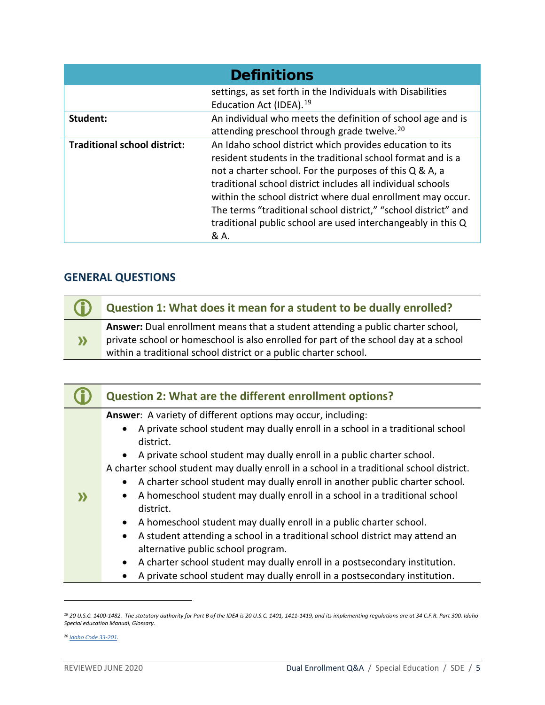|                                     | <b>Definitions</b>                                                                                                                                                                                                                                                                                                                                                                                                                                         |
|-------------------------------------|------------------------------------------------------------------------------------------------------------------------------------------------------------------------------------------------------------------------------------------------------------------------------------------------------------------------------------------------------------------------------------------------------------------------------------------------------------|
|                                     | settings, as set forth in the Individuals with Disabilities<br>Education Act (IDEA). <sup>19</sup>                                                                                                                                                                                                                                                                                                                                                         |
| Student:                            | An individual who meets the definition of school age and is<br>attending preschool through grade twelve. <sup>20</sup>                                                                                                                                                                                                                                                                                                                                     |
| <b>Traditional school district:</b> | An Idaho school district which provides education to its<br>resident students in the traditional school format and is a<br>not a charter school. For the purposes of this Q & A, a<br>traditional school district includes all individual schools<br>within the school district where dual enrollment may occur.<br>The terms "traditional school district," "school district" and<br>traditional public school are used interchangeably in this Q<br>& A. |

## **GENERAL QUESTIONS**

| $\bigcirc$   | Question 1: What does it mean for a student to be dually enrolled?                                                                                                                                                                          |
|--------------|---------------------------------------------------------------------------------------------------------------------------------------------------------------------------------------------------------------------------------------------|
| $\mathbf{y}$ | Answer: Dual enrollment means that a student attending a public charter school,<br>private school or homeschool is also enrolled for part of the school day at a school<br>within a traditional school district or a public charter school. |

|                   | <b>Question 2: What are the different enrollment options?</b>                                                                                                                                                                                                                                                                                                                                                                                                                                                                                                                                                                                                                                                                                  |
|-------------------|------------------------------------------------------------------------------------------------------------------------------------------------------------------------------------------------------------------------------------------------------------------------------------------------------------------------------------------------------------------------------------------------------------------------------------------------------------------------------------------------------------------------------------------------------------------------------------------------------------------------------------------------------------------------------------------------------------------------------------------------|
| $\mathbf{\Sigma}$ | Answer: A variety of different options may occur, including:<br>A private school student may dually enroll in a school in a traditional school<br>district.<br>A private school student may dually enroll in a public charter school.<br>$\bullet$<br>A charter school student may dually enroll in a school in a traditional school district.<br>A charter school student may dually enroll in another public charter school.<br>A homeschool student may dually enroll in a school in a traditional school<br>district.<br>A homeschool student may dually enroll in a public charter school.<br>$\bullet$<br>A student attending a school in a traditional school district may attend an<br>$\bullet$<br>alternative public school program. |
|                   | A charter school student may dually enroll in a postsecondary institution.<br>A private school student may dually enroll in a postsecondary institution.<br>$\bullet$                                                                                                                                                                                                                                                                                                                                                                                                                                                                                                                                                                          |

<span id="page-4-0"></span>*<sup>19</sup> 20 U.S.C. 1400-1482. The statutory authority for Part B of the IDEA is 20 U.S.C. 1401, 1411-1419, and its implementing regulations are at 34 C.F.R. Part 300. Idaho Special education Manual, Glossary.*

<span id="page-4-1"></span>*<sup>20</sup> [Idaho Code 33-201.](https://legislature.idaho.gov/idstat/Title33/T33CH2SECT33-201.htm)*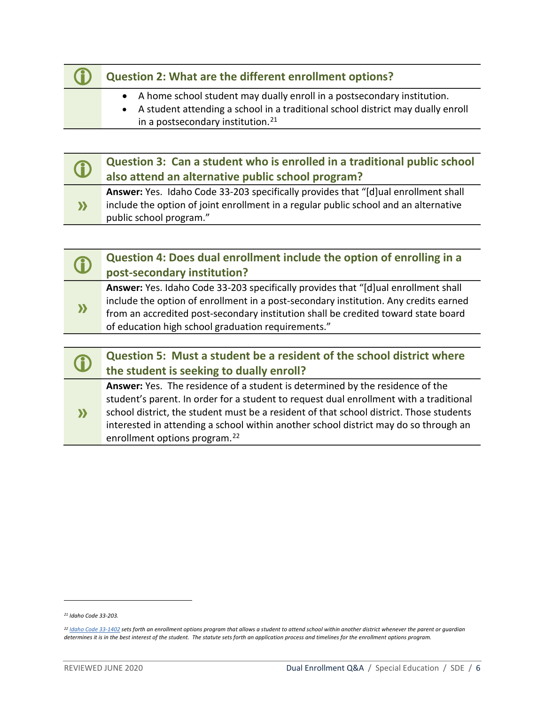## **Question 2: What are the different enrollment options?**

- A home school student may dually enroll in a postsecondary institution.
- A student attending a school in a traditional school district may dually enroll in a postsecondary institution. $21$

| Œ                      | Question 3: Can a student who is enrolled in a traditional public school<br>also attend an alternative public school program?                                                                         |
|------------------------|-------------------------------------------------------------------------------------------------------------------------------------------------------------------------------------------------------|
| $\boldsymbol{\lambda}$ | Answer: Yes. Idaho Code 33-203 specifically provides that "[d]ual enrollment shall<br>include the option of joint enrollment in a regular public school and an alternative<br>public school program." |

| Œ         | Question 4: Does dual enrollment include the option of enrolling in a                                                                                                                                                                                                                                                  |
|-----------|------------------------------------------------------------------------------------------------------------------------------------------------------------------------------------------------------------------------------------------------------------------------------------------------------------------------|
|           | post-secondary institution?                                                                                                                                                                                                                                                                                            |
| $\lambda$ | Answer: Yes. Idaho Code 33-203 specifically provides that "[d]ual enrollment shall<br>include the option of enrollment in a post-secondary institution. Any credits earned<br>from an accredited post-secondary institution shall be credited toward state board<br>of education high school graduation requirements." |
|           |                                                                                                                                                                                                                                                                                                                        |

| $\bigcirc$ | Question 5: Must a student be a resident of the school district where          |
|------------|--------------------------------------------------------------------------------|
|            | the student is seeking to dually enroll?                                       |
|            | Approximately the residence of a student is determined buther residence of the |

**» Answer:** Yes. The residence of a student is determined by the residence of the student's parent. In order for a student to request dual enrollment with a traditional school district, the student must be a resident of that school district. Those students interested in attending a school within another school district may do so through an enrollment options program.<sup>[22](#page-5-1)</sup>

<span id="page-5-0"></span>*<sup>21</sup> Idaho Code 33-203.*

<span id="page-5-1"></span>*<sup>22</sup> [Idaho Code 33-1402](https://legislature.idaho.gov/idstat/Title33/T33CH14SECT33-1402.htm) sets forth an enrollment options program that allows a student to attend school within another district whenever the parent or guardian determines it is in the best interest of the student. The statute sets forth an application process and timelines for the enrollment options program.*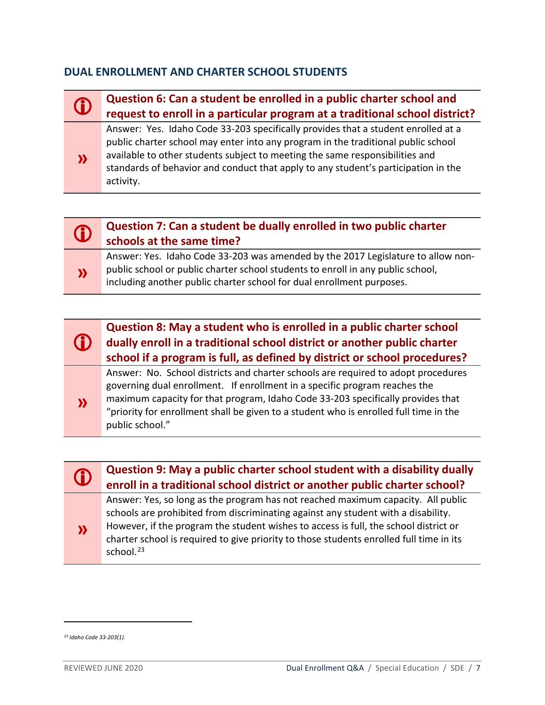## **DUAL ENROLLMENT AND CHARTER SCHOOL STUDENTS**

| $\mathbf 0$ | Question 6: Can a student be enrolled in a public charter school and<br>request to enroll in a particular program at a traditional school district?                                                                                                                                                                                                       |
|-------------|-----------------------------------------------------------------------------------------------------------------------------------------------------------------------------------------------------------------------------------------------------------------------------------------------------------------------------------------------------------|
| $\lambda$   | Answer: Yes. Idaho Code 33-203 specifically provides that a student enrolled at a<br>public charter school may enter into any program in the traditional public school<br>available to other students subject to meeting the same responsibilities and<br>standards of behavior and conduct that apply to any student's participation in the<br>activity. |

## **Question 7: Can a student be dually enrolled in two public charter schools at the same time?**

**»** Answer: Yes. Idaho Code 33-203 was amended by the 2017 Legislature to allow nonpublic school or public charter school students to enroll in any public school, including another public charter school for dual enrollment purposes.





## **Question 9: May a public charter school student with a disability dually**<br> **Conseil in a traditional school district ar another public charter school? enroll in a traditional school district or another public charter school?**

Answer: Yes, so long as the program has not reached maximum capacity. All public schools are prohibited from discriminating against any student with a disability. However, if the program the student wishes to access is full, the school district or charter school is required to give priority to those students enrolled full time in its school. $23$ 

<span id="page-6-0"></span>*<sup>23</sup> Idaho Code 33-203(1).*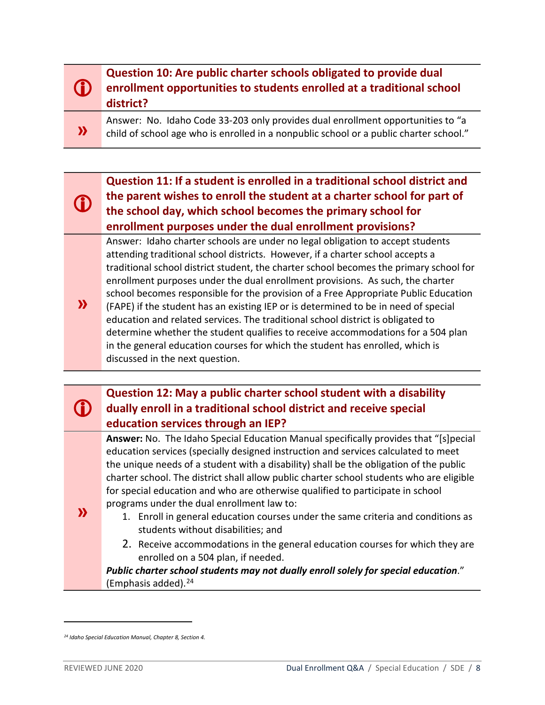#### (i) **Question 10: Are public charter schools obligated to provide dual enrollment opportunities to students enrolled at a traditional school district?**

Answer: No. Idaho Code 33-203 only provides dual enrollment opportunities to "a child of school age who is enrolled in a nonpublic school or a public charter school."

## **Question 11: If a student is enrolled in a traditional school district and the parent wishes to enroll the student at a charter school for part of the school day, which school becomes the primary school for enrollment purposes under the dual enrollment provisions?**

Answer: Idaho charter schools are under no legal obligation to accept students attending traditional school districts. However, if a charter school accepts a traditional school district student, the charter school becomes the primary school for enrollment purposes under the dual enrollment provisions. As such, the charter school becomes responsible for the provision of a Free Appropriate Public Education

**»** (FAPE) if the student has an existing IEP or is determined to be in need of special education and related services. The traditional school district is obligated to determine whether the student qualifies to receive accommodations for a 504 plan in the general education courses for which the student has enrolled, which is discussed in the next question.

## **Question 12: May a public charter school student with a disability dually enroll in a traditional school district and receive special education services through an IEP?**

**Answer:** No. The Idaho Special Education Manual specifically provides that "[s]pecial education services (specially designed instruction and services calculated to meet the unique needs of a student with a disability) shall be the obligation of the public charter school. The district shall allow public charter school students who are eligible for special education and who are otherwise qualified to participate in school programs under the dual enrollment law to:

- 1. Enroll in general education courses under the same criteria and conditions as students without disabilities; and
- 2. Receive accommodations in the general education courses for which they are enrolled on a 504 plan, if needed.

*Public charter school students may not dually enroll solely for special education*." (Emphasis added). $24$ 

**»**

O

G)

**»**

<span id="page-7-0"></span>*<sup>24</sup> Idaho Special Education Manual, Chapter 8, Section 4.*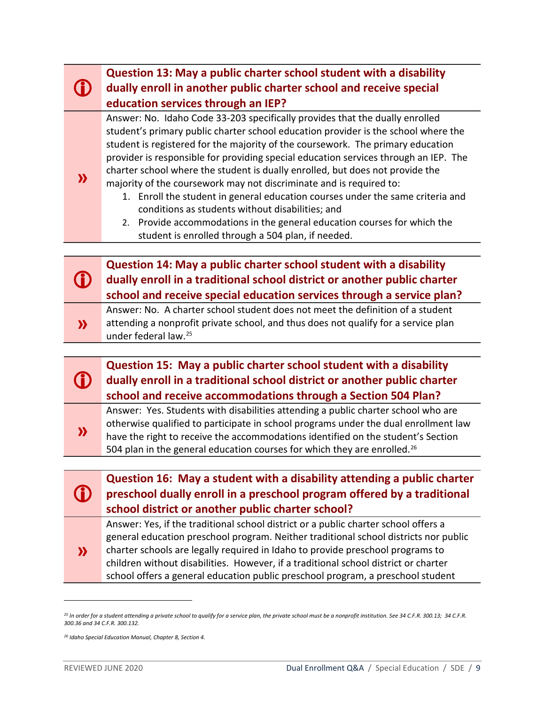|                        | Question 13: May a public charter school student with a disability<br>dually enroll in another public charter school and receive special<br>education services through an IEP?                                                                                                                                                                                                                                                                                                                                                                                                                                                                                                                                                                                                |
|------------------------|-------------------------------------------------------------------------------------------------------------------------------------------------------------------------------------------------------------------------------------------------------------------------------------------------------------------------------------------------------------------------------------------------------------------------------------------------------------------------------------------------------------------------------------------------------------------------------------------------------------------------------------------------------------------------------------------------------------------------------------------------------------------------------|
| $\boldsymbol{\lambda}$ | Answer: No. Idaho Code 33-203 specifically provides that the dually enrolled<br>student's primary public charter school education provider is the school where the<br>student is registered for the majority of the coursework. The primary education<br>provider is responsible for providing special education services through an IEP. The<br>charter school where the student is dually enrolled, but does not provide the<br>majority of the coursework may not discriminate and is required to:<br>1. Enroll the student in general education courses under the same criteria and<br>conditions as students without disabilities; and<br>2. Provide accommodations in the general education courses for which the<br>student is enrolled through a 504 plan, if needed. |
|                        |                                                                                                                                                                                                                                                                                                                                                                                                                                                                                                                                                                                                                                                                                                                                                                               |
|                        | Question 14: May a public charter school student with a disability<br>dually enroll in a traditional school district or another public charter<br>school and receive special education services through a service plan?                                                                                                                                                                                                                                                                                                                                                                                                                                                                                                                                                       |
| $\boldsymbol{\lambda}$ | Answer: No. A charter school student does not meet the definition of a student<br>attending a nonprofit private school, and thus does not qualify for a service plan<br>under federal law. <sup>25</sup>                                                                                                                                                                                                                                                                                                                                                                                                                                                                                                                                                                      |
|                        |                                                                                                                                                                                                                                                                                                                                                                                                                                                                                                                                                                                                                                                                                                                                                                               |
|                        | Question 15: May a public charter school student with a disability<br>dually enroll in a traditional school district or another public charter<br>school and receive accommodations through a Section 504 Plan?                                                                                                                                                                                                                                                                                                                                                                                                                                                                                                                                                               |
| $\mathbf{\Sigma}$      | Answer: Yes. Students with disabilities attending a public charter school who are<br>otherwise qualified to participate in school programs under the dual enrollment law<br>have the right to receive the accommodations identified on the student's Section<br>504 plan in the general education courses for which they are enrolled. <sup>26</sup>                                                                                                                                                                                                                                                                                                                                                                                                                          |
|                        |                                                                                                                                                                                                                                                                                                                                                                                                                                                                                                                                                                                                                                                                                                                                                                               |
|                        | Question 16: May a student with a disability attending a public charter<br>preschool dually enroll in a preschool program offered by a traditional<br>school district or another public charter school?                                                                                                                                                                                                                                                                                                                                                                                                                                                                                                                                                                       |
| $\mathbf{\Sigma}$      | Answer: Yes, if the traditional school district or a public charter school offers a<br>general education preschool program. Neither traditional school districts nor public<br>charter schools are legally required in Idaho to provide preschool programs to<br>children without disabilities. However, if a traditional school district or charter<br>school offers a general education public preschool program, a preschool student                                                                                                                                                                                                                                                                                                                                       |

<span id="page-8-0"></span>*<sup>25</sup> In order for a student attending a private school to qualify for a service plan, the private school must be a nonprofit institution. See 34 C.F.R. 300.13; 34 C.F.R. 300.36 and 34 C.F.R. 300.132.*

<span id="page-8-1"></span>*<sup>26</sup> Idaho Special Education Manual, Chapter 8, Section 4.*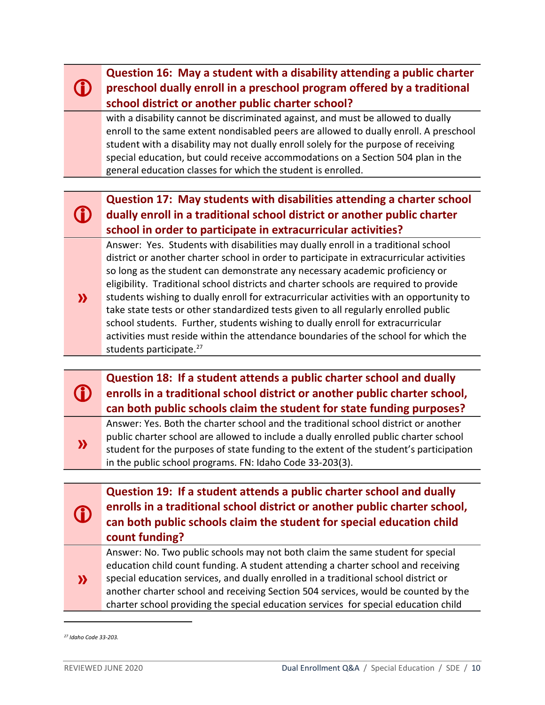#### G) **Question 16: May a student with a disability attending a public charter preschool dually enroll in a preschool program offered by a traditional school district or another public charter school?**

with a disability cannot be discriminated against, and must be allowed to dually enroll to the same extent nondisabled peers are allowed to dually enroll. A preschool student with a disability may not dually enroll solely for the purpose of receiving special education, but could receive accommodations on a Section 504 plan in the general education classes for which the student is enrolled.

#### G) **Question 17: May students with disabilities attending a charter school dually enroll in a traditional school district or another public charter school in order to participate in extracurricular activities?**

Answer: Yes. Students with disabilities may dually enroll in a traditional school district or another charter school in order to participate in extracurricular activities so long as the student can demonstrate any necessary academic proficiency or eligibility. Traditional school districts and charter schools are required to provide students wishing to dually enroll for extracurricular activities with an opportunity to take state tests or other standardized tests given to all regularly enrolled public

school students. Further, students wishing to dually enroll for extracurricular activities must reside within the attendance boundaries of the school for which the students participate.<sup>[27](#page-9-0)</sup>

#### G) **Question 18: If a student attends a public charter school and dually enrolls in a traditional school district or another public charter school, can both public schools claim the student for state funding purposes?**

**»** Answer: Yes. Both the charter school and the traditional school district or another public charter school are allowed to include a dually enrolled public charter school student for the purposes of state funding to the extent of the student's participation in the public school programs. FN: Idaho Code 33-203(3).

**Question 19: If a student attends a public charter school and dually enrolls in a traditional school district or another public charter school, can both public schools claim the student for special education child count funding?** 

**»** Answer: No. Two public schools may not both claim the same student for special education child count funding. A student attending a charter school and receiving special education services, and dually enrolled in a traditional school district or another charter school and receiving Section 504 services, would be counted by the charter school providing the special education services for special education child

O

**»**

<span id="page-9-0"></span>*<sup>27</sup> Idaho Code 33-203.*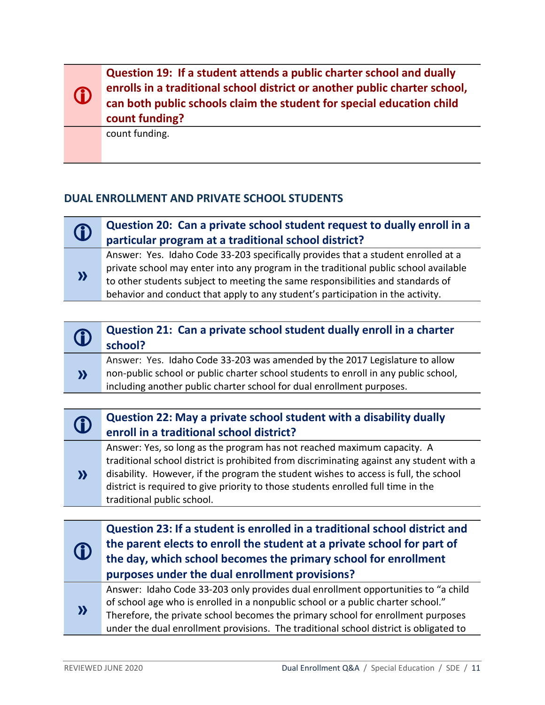**Question 19: If a student attends a public charter school and dually enrolls in a traditional school district or another public charter school, can both public schools claim the student for special education child count funding?** 

count funding.

 $\bigcirc$ 

**»** 

## **DUAL ENROLLMENT AND PRIVATE SCHOOL STUDENTS**

## **Question 20: Can a private school student request to dually enroll in a**<br> **CO** contigular program at a traditional school district? **particular program at a traditional school district?**

Answer: Yes. Idaho Code 33-203 specifically provides that a student enrolled at a private school may enter into any program in the traditional public school available to other students subject to meeting the same responsibilities and standards of behavior and conduct that apply to any student's participation in the activity.

| $\bigcirc$ | Question 21: Can a private school student dually enroll in a charter<br>school?                                                                                                                                                             |
|------------|---------------------------------------------------------------------------------------------------------------------------------------------------------------------------------------------------------------------------------------------|
| $\lambda$  | Answer: Yes. Idaho Code 33-203 was amended by the 2017 Legislature to allow<br>non-public school or public charter school students to enroll in any public school,<br>including another public charter school for dual enrollment purposes. |
|            |                                                                                                                                                                                                                                             |

## **Question 22: May a private school student with a disability dually enroll in a traditional school district?**

**»**  Answer: Yes, so long as the program has not reached maximum capacity. A traditional school district is prohibited from discriminating against any student with a disability. However, if the program the student wishes to access is full, the school district is required to give priority to those students enrolled full time in the traditional public school.

| $\bigcirc$        | Question 23: If a student is enrolled in a traditional school district and<br>the parent elects to enroll the student at a private school for part of<br>the day, which school becomes the primary school for enrollment<br>purposes under the dual enrollment provisions?                                                                         |
|-------------------|----------------------------------------------------------------------------------------------------------------------------------------------------------------------------------------------------------------------------------------------------------------------------------------------------------------------------------------------------|
| $\mathbf{\Sigma}$ | Answer: Idaho Code 33-203 only provides dual enrollment opportunities to "a child<br>of school age who is enrolled in a nonpublic school or a public charter school."<br>Therefore, the private school becomes the primary school for enrollment purposes<br>under the dual enrollment provisions. The traditional school district is obligated to |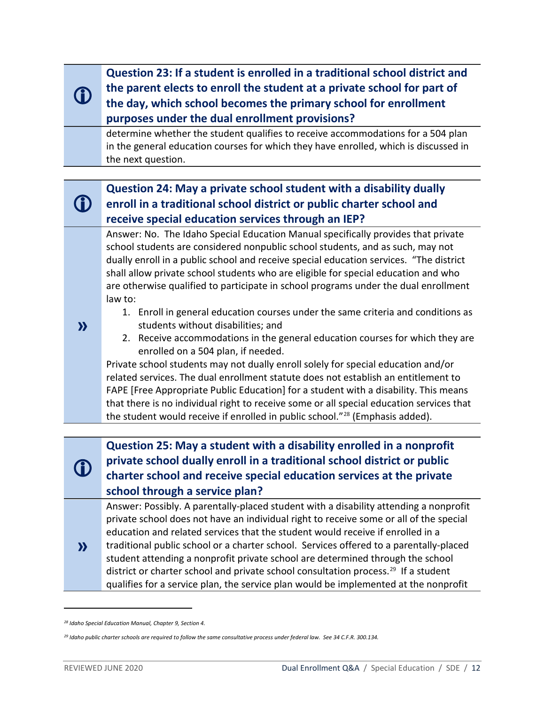**Question 23: If a student is enrolled in a traditional school district and the parent elects to enroll the student at a private school for part of the day, which school becomes the primary school for enrollment purposes under the dual enrollment provisions?**

determine whether the student qualifies to receive accommodations for a 504 plan in the general education courses for which they have enrolled, which is discussed in the next question.

#### $\mathbf 0$ **Question 24: May a private school student with a disability dually enroll in a traditional school district or public charter school and receive special education services through an IEP?**

Answer: No. The Idaho Special Education Manual specifically provides that private school students are considered nonpublic school students, and as such, may not dually enroll in a public school and receive special education services. "The district shall allow private school students who are eligible for special education and who are otherwise qualified to participate in school programs under the dual enrollment law to:

- 1. Enroll in general education courses under the same criteria and conditions as students without disabilities; and
- 2. Receive accommodations in the general education courses for which they are enrolled on a 504 plan, if needed.

Private school students may not dually enroll solely for special education and/or related services. The dual enrollment statute does not establish an entitlement to FAPE [Free Appropriate Public Education] for a student with a disability. This means that there is no individual right to receive some or all special education services that the student would receive if enrolled in public school."<sup>[28](#page-11-0)</sup> (Emphasis added).

**Question 25: May a student with a disability enrolled in a nonprofit private school dually enroll in a traditional school district or public charter school and receive special education services at the private school through a service plan?** 

Answer: Possibly. A parentally-placed student with a disability attending a nonprofit private school does not have an individual right to receive some or all of the special education and related services that the student would receive if enrolled in a

**»**  traditional public school or a charter school. Services offered to a parentally-placed student attending a nonprofit private school are determined through the school district or charter school and private school consultation process.<sup>[29](#page-11-1)</sup> If a student qualifies for a service plan, the service plan would be implemented at the nonprofit

**D** 

**»** 

 $\mathbf \Omega$ 

<span id="page-11-0"></span>*<sup>28</sup> Idaho Special Education Manual, Chapter 9, Section 4.*

<span id="page-11-1"></span>*<sup>29</sup> Idaho public charter schools are required to follow the same consultative process under federal law. See 34 C.F.R. 300.134.*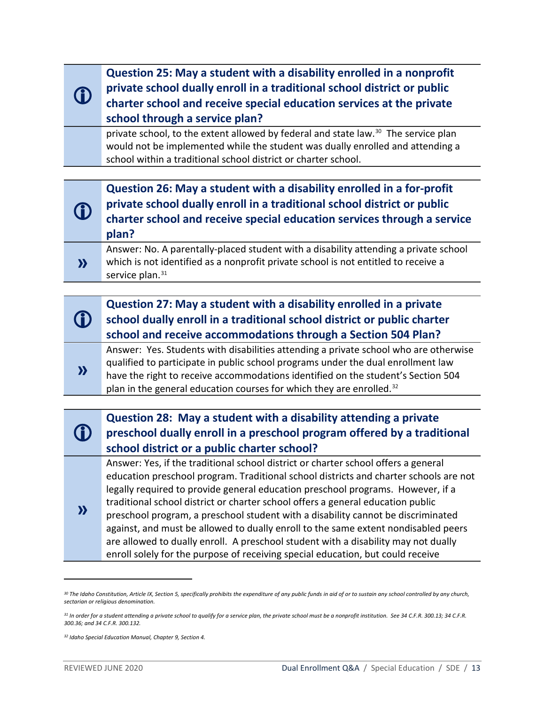**Question 25: May a student with a disability enrolled in a nonprofit private school dually enroll in a traditional school district or public charter school and receive special education services at the private school through a service plan?** 

private school, to the extent allowed by federal and state law.[30](#page-12-0) The service plan would not be implemented while the student was dually enrolled and attending a school within a traditional school district or charter school.

| $\bigcirc$        | Question 26: May a student with a disability enrolled in a for-profit<br>private school dually enroll in a traditional school district or public<br>charter school and receive special education services through a service<br>plan? |
|-------------------|--------------------------------------------------------------------------------------------------------------------------------------------------------------------------------------------------------------------------------------|
| $\mathbf{\Sigma}$ | Answer: No. A parentally-placed student with a disability attending a private school<br>which is not identified as a nonprofit private school is not entitled to receive a<br>service plan. <sup>31</sup>                            |

|           | Question 27: May a student with a disability enrolled in a private<br>school dually enroll in a traditional school district or public charter<br>school and receive accommodations through a Section 504 Plan?                                                                                                                                   |
|-----------|--------------------------------------------------------------------------------------------------------------------------------------------------------------------------------------------------------------------------------------------------------------------------------------------------------------------------------------------------|
| $\lambda$ | Answer: Yes. Students with disabilities attending a private school who are otherwise<br>qualified to participate in public school programs under the dual enrollment law<br>have the right to receive accommodations identified on the student's Section 504<br>plan in the general education courses for which they are enrolled. <sup>32</sup> |
|           |                                                                                                                                                                                                                                                                                                                                                  |

#### **D Question 28: May a student with a disability attending a private preschool dually enroll in a preschool program offered by a traditional school district or a public charter school? »**  Answer: Yes, if the traditional school district or charter school offers a general education preschool program. Traditional school districts and charter schools are not legally required to provide general education preschool programs. However, if a traditional school district or charter school offers a general education public preschool program, a preschool student with a disability cannot be discriminated against, and must be allowed to dually enroll to the same extent nondisabled peers are allowed to dually enroll. A preschool student with a disability may not dually

enroll solely for the purpose of receiving special education, but could receive

O

<span id="page-12-0"></span>*<sup>30</sup> The Idaho Constitution, Article IX, Section 5, specifically prohibits the expenditure of any public funds in aid of or to sustain any school controlled by any church, sectarian or religious denomination.*

<span id="page-12-1"></span>*<sup>31</sup> In order for a student attending a private school to qualify for a service plan, the private school must be a nonprofit institution. See 34 C.F.R. 300.13; 34 C.F.R. 300.36; and 34 C.F.R. 300.132.*

<span id="page-12-2"></span>*<sup>32</sup> Idaho Special Education Manual, Chapter 9, Section 4.*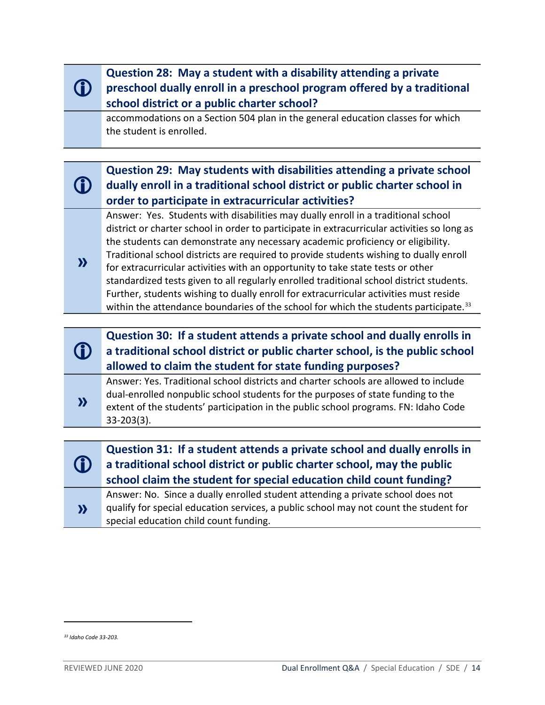|                        | Question 28: May a student with a disability attending a private<br>preschool dually enroll in a preschool program offered by a traditional<br>school district or a public charter school?                                                                                                                                                                                                                                                                                                                                                                                                                                                                                                                                                |
|------------------------|-------------------------------------------------------------------------------------------------------------------------------------------------------------------------------------------------------------------------------------------------------------------------------------------------------------------------------------------------------------------------------------------------------------------------------------------------------------------------------------------------------------------------------------------------------------------------------------------------------------------------------------------------------------------------------------------------------------------------------------------|
|                        | accommodations on a Section 504 plan in the general education classes for which<br>the student is enrolled.                                                                                                                                                                                                                                                                                                                                                                                                                                                                                                                                                                                                                               |
|                        |                                                                                                                                                                                                                                                                                                                                                                                                                                                                                                                                                                                                                                                                                                                                           |
|                        | Question 29: May students with disabilities attending a private school<br>dually enroll in a traditional school district or public charter school in<br>order to participate in extracurricular activities?                                                                                                                                                                                                                                                                                                                                                                                                                                                                                                                               |
| $\boldsymbol{\lambda}$ | Answer: Yes. Students with disabilities may dually enroll in a traditional school<br>district or charter school in order to participate in extracurricular activities so long as<br>the students can demonstrate any necessary academic proficiency or eligibility.<br>Traditional school districts are required to provide students wishing to dually enroll<br>for extracurricular activities with an opportunity to take state tests or other<br>standardized tests given to all regularly enrolled traditional school district students.<br>Further, students wishing to dually enroll for extracurricular activities must reside<br>within the attendance boundaries of the school for which the students participate. <sup>33</sup> |
|                        |                                                                                                                                                                                                                                                                                                                                                                                                                                                                                                                                                                                                                                                                                                                                           |
|                        | Question 30: If a student attends a private school and dually enrolls in<br>a traditional school district or public charter school, is the public school<br>allowed to claim the student for state funding purposes?                                                                                                                                                                                                                                                                                                                                                                                                                                                                                                                      |
| $\boldsymbol{\lambda}$ | Answer: Yes. Traditional school districts and charter schools are allowed to include<br>dual-enrolled nonpublic school students for the purposes of state funding to the<br>extent of the students' participation in the public school programs. FN: Idaho Code<br>$33 - 203(3)$ .                                                                                                                                                                                                                                                                                                                                                                                                                                                        |
|                        |                                                                                                                                                                                                                                                                                                                                                                                                                                                                                                                                                                                                                                                                                                                                           |
|                        | Question 31: If a student attends a private school and dually enrolls in                                                                                                                                                                                                                                                                                                                                                                                                                                                                                                                                                                                                                                                                  |
|                        | a traditional school district or public charter school, may the public<br>school claim the student for special education child count funding?                                                                                                                                                                                                                                                                                                                                                                                                                                                                                                                                                                                             |
| $\boldsymbol{\lambda}$ | Answer: No. Since a dually enrolled student attending a private school does not<br>qualify for special education services, a public school may not count the student for<br>special education child count funding.                                                                                                                                                                                                                                                                                                                                                                                                                                                                                                                        |

<span id="page-13-0"></span>*<sup>33</sup> Idaho Code 33-203.*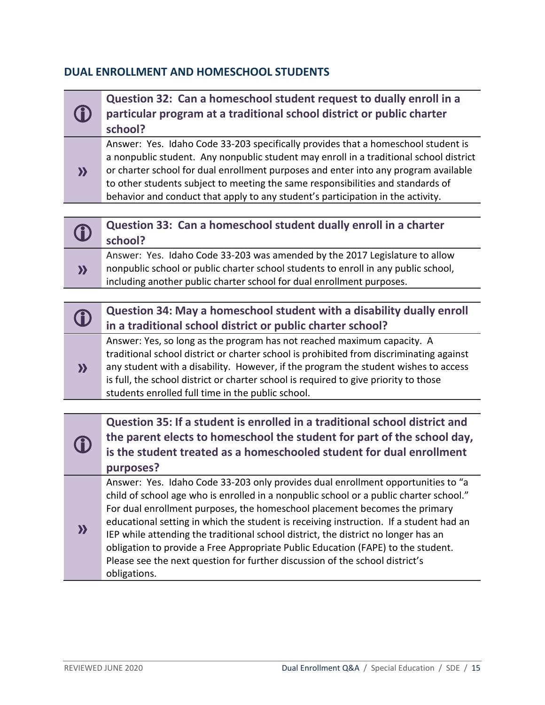### **DUAL ENROLLMENT AND HOMESCHOOL STUDENTS**

|                            | Question 32: Can a homeschool student request to dually enroll in a<br>particular program at a traditional school district or public charter<br>school?                                                                                                                                                                                                                                                                                                                                                                      |
|----------------------------|------------------------------------------------------------------------------------------------------------------------------------------------------------------------------------------------------------------------------------------------------------------------------------------------------------------------------------------------------------------------------------------------------------------------------------------------------------------------------------------------------------------------------|
| $\boldsymbol{\lambda}$     | Answer: Yes. Idaho Code 33-203 specifically provides that a homeschool student is<br>a nonpublic student. Any nonpublic student may enroll in a traditional school district<br>or charter school for dual enrollment purposes and enter into any program available<br>to other students subject to meeting the same responsibilities and standards of<br>behavior and conduct that apply to any student's participation in the activity.                                                                                     |
|                            |                                                                                                                                                                                                                                                                                                                                                                                                                                                                                                                              |
| $\bigcirc$                 | Question 33: Can a homeschool student dually enroll in a charter<br>school?                                                                                                                                                                                                                                                                                                                                                                                                                                                  |
| $\boldsymbol{\Sigma}$      | Answer: Yes. Idaho Code 33-203 was amended by the 2017 Legislature to allow<br>nonpublic school or public charter school students to enroll in any public school,<br>including another public charter school for dual enrollment purposes.                                                                                                                                                                                                                                                                                   |
|                            |                                                                                                                                                                                                                                                                                                                                                                                                                                                                                                                              |
| $\mathbf \Omega$           | Question 34: May a homeschool student with a disability dually enroll<br>in a traditional school district or public charter school?                                                                                                                                                                                                                                                                                                                                                                                          |
| $\boldsymbol{\lambda}$     | Answer: Yes, so long as the program has not reached maximum capacity. A<br>traditional school district or charter school is prohibited from discriminating against<br>any student with a disability. However, if the program the student wishes to access<br>is full, the school district or charter school is required to give priority to those<br>students enrolled full time in the public school.                                                                                                                       |
|                            |                                                                                                                                                                                                                                                                                                                                                                                                                                                                                                                              |
|                            | Question 35: If a student is enrolled in a traditional school district and<br>the parent elects to homeschool the student for part of the school day,<br>is the student treated as a homeschooled student for dual enrollment<br>purposes?                                                                                                                                                                                                                                                                                   |
| $\boldsymbol{\mathcal{Y}}$ | Answer: Yes. Idaho Code 33-203 only provides dual enrollment opportunities to "a<br>child of school age who is enrolled in a nonpublic school or a public charter school."<br>For dual enrollment purposes, the homeschool placement becomes the primary<br>educational setting in which the student is receiving instruction. If a student had an<br>IEP while attending the traditional school district, the district no longer has an<br>obligation to provide a Free Appropriate Public Education (FAPE) to the student. |

Please see the next question for further discussion of the school district's

obligations.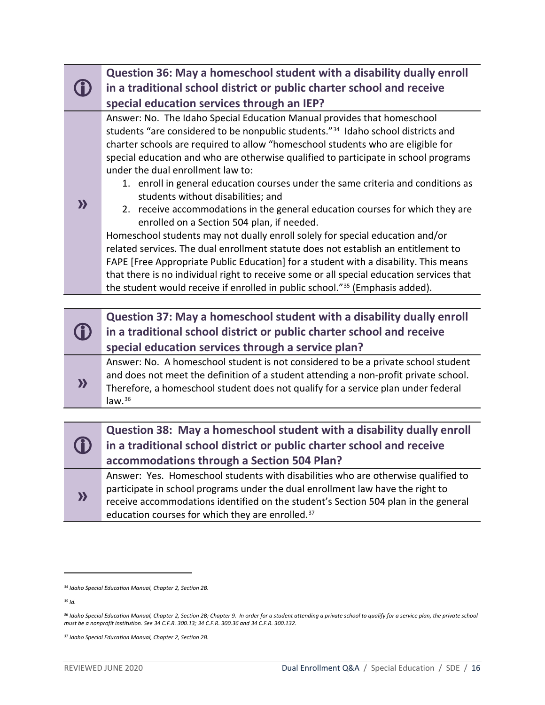|                        | Question 36: May a homeschool student with a disability dually enroll<br>in a traditional school district or public charter school and receive<br>special education services through an IEP?                                                                                                                                                                                                                                                                                                                                                                                                                                                                                                                                                                                                                                                                                                                                                                                                                                                                                                           |
|------------------------|--------------------------------------------------------------------------------------------------------------------------------------------------------------------------------------------------------------------------------------------------------------------------------------------------------------------------------------------------------------------------------------------------------------------------------------------------------------------------------------------------------------------------------------------------------------------------------------------------------------------------------------------------------------------------------------------------------------------------------------------------------------------------------------------------------------------------------------------------------------------------------------------------------------------------------------------------------------------------------------------------------------------------------------------------------------------------------------------------------|
| $\boldsymbol{\lambda}$ | Answer: No. The Idaho Special Education Manual provides that homeschool<br>students "are considered to be nonpublic students." <sup>34</sup> Idaho school districts and<br>charter schools are required to allow "homeschool students who are eligible for<br>special education and who are otherwise qualified to participate in school programs<br>under the dual enrollment law to:<br>1. enroll in general education courses under the same criteria and conditions as<br>students without disabilities; and<br>2. receive accommodations in the general education courses for which they are<br>enrolled on a Section 504 plan, if needed.<br>Homeschool students may not dually enroll solely for special education and/or<br>related services. The dual enrollment statute does not establish an entitlement to<br>FAPE [Free Appropriate Public Education] for a student with a disability. This means<br>that there is no individual right to receive some or all special education services that<br>the student would receive if enrolled in public school." <sup>35</sup> (Emphasis added). |
|                        |                                                                                                                                                                                                                                                                                                                                                                                                                                                                                                                                                                                                                                                                                                                                                                                                                                                                                                                                                                                                                                                                                                        |
|                        | Question 37: May a homeschool student with a disability dually enroll<br>in a traditional school district or public charter school and receive<br>special education services through a service plan?                                                                                                                                                                                                                                                                                                                                                                                                                                                                                                                                                                                                                                                                                                                                                                                                                                                                                                   |
| $\boldsymbol{\Sigma}$  | Answer: No. A homeschool student is not considered to be a private school student<br>and does not meet the definition of a student attending a non-profit private school.<br>Therefore, a homeschool student does not qualify for a service plan under federal<br>law. $36$                                                                                                                                                                                                                                                                                                                                                                                                                                                                                                                                                                                                                                                                                                                                                                                                                            |
|                        |                                                                                                                                                                                                                                                                                                                                                                                                                                                                                                                                                                                                                                                                                                                                                                                                                                                                                                                                                                                                                                                                                                        |
|                        | Question 38: May a homeschool student with a disability dually enroll<br>in a traditional school district or public charter school and receive<br>accommodations through a Section 504 Plan?                                                                                                                                                                                                                                                                                                                                                                                                                                                                                                                                                                                                                                                                                                                                                                                                                                                                                                           |
|                        | Answer: Yes. Homeschool students with disabilities who are otherwise qualified to                                                                                                                                                                                                                                                                                                                                                                                                                                                                                                                                                                                                                                                                                                                                                                                                                                                                                                                                                                                                                      |

**»**  participate in school programs under the dual enrollment law have the right to receive accommodations identified on the student's Section 504 plan in the general education courses for which they are enrolled.[37](#page-15-3)

<span id="page-15-0"></span>*<sup>34</sup> Idaho Special Education Manual, Chapter 2, Section 2B.* 

<span id="page-15-1"></span>*<sup>35</sup> Id.*

<span id="page-15-2"></span>*<sup>36</sup> Idaho Special Education Manual, Chapter 2, Section 2B; Chapter 9. In order for a student attending a private school to qualify for a service plan, the private school must be a nonprofit institution. See 34 C.F.R. 300.13; 34 C.F.R. 300.36 and 34 C.F.R. 300.132.*

<span id="page-15-3"></span>*<sup>37</sup> Idaho Special Education Manual, Chapter 2, Section 2B.*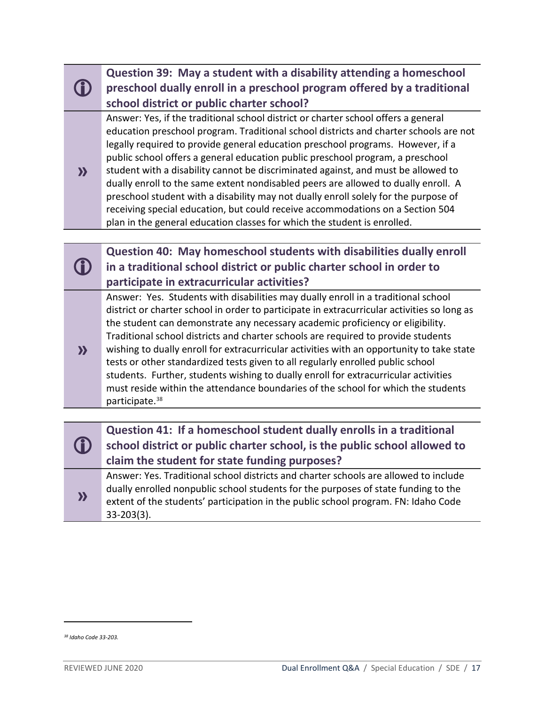|                        | Question 39: May a student with a disability attending a homeschool                                                                                                                                                                                                                                                                                                                                                                                                                                                                                                                                                                                                                                                                                                              |
|------------------------|----------------------------------------------------------------------------------------------------------------------------------------------------------------------------------------------------------------------------------------------------------------------------------------------------------------------------------------------------------------------------------------------------------------------------------------------------------------------------------------------------------------------------------------------------------------------------------------------------------------------------------------------------------------------------------------------------------------------------------------------------------------------------------|
|                        | preschool dually enroll in a preschool program offered by a traditional                                                                                                                                                                                                                                                                                                                                                                                                                                                                                                                                                                                                                                                                                                          |
|                        | school district or public charter school?                                                                                                                                                                                                                                                                                                                                                                                                                                                                                                                                                                                                                                                                                                                                        |
| $\mathbf{y}$           | Answer: Yes, if the traditional school district or charter school offers a general<br>education preschool program. Traditional school districts and charter schools are not<br>legally required to provide general education preschool programs. However, if a<br>public school offers a general education public preschool program, a preschool<br>student with a disability cannot be discriminated against, and must be allowed to<br>dually enroll to the same extent nondisabled peers are allowed to dually enroll. A<br>preschool student with a disability may not dually enroll solely for the purpose of<br>receiving special education, but could receive accommodations on a Section 504<br>plan in the general education classes for which the student is enrolled. |
|                        |                                                                                                                                                                                                                                                                                                                                                                                                                                                                                                                                                                                                                                                                                                                                                                                  |
|                        | Question 40: May homeschool students with disabilities dually enroll                                                                                                                                                                                                                                                                                                                                                                                                                                                                                                                                                                                                                                                                                                             |
|                        | in a traditional school district or public charter school in order to                                                                                                                                                                                                                                                                                                                                                                                                                                                                                                                                                                                                                                                                                                            |
|                        | participate in extracurricular activities?                                                                                                                                                                                                                                                                                                                                                                                                                                                                                                                                                                                                                                                                                                                                       |
| $\boldsymbol{\lambda}$ | Answer: Yes. Students with disabilities may dually enroll in a traditional school<br>district or charter school in order to participate in extracurricular activities so long as<br>the student can demonstrate any necessary academic proficiency or eligibility.<br>Traditional school districts and charter schools are required to provide students<br>wishing to dually enroll for extracurricular activities with an opportunity to take state<br>tests or other standardized tests given to all regularly enrolled public school<br>students. Further, students wishing to dually enroll for extracurricular activities<br>must reside within the attendance boundaries of the school for which the students<br>participate. <sup>38</sup>                                |
|                        |                                                                                                                                                                                                                                                                                                                                                                                                                                                                                                                                                                                                                                                                                                                                                                                  |
|                        | Question 41: If a homeschool student dually enrolls in a traditional<br>school district or public charter school, is the public school allowed to<br>claim the student for state funding purposes?                                                                                                                                                                                                                                                                                                                                                                                                                                                                                                                                                                               |
| $\boldsymbol{\lambda}$ | Answer: Yes. Traditional school districts and charter schools are allowed to include<br>dually enrolled nonpublic school students for the purposes of state funding to the<br>extent of the students' participation in the public school program. FN: Idaho Code<br>$33 - 203(3)$ .                                                                                                                                                                                                                                                                                                                                                                                                                                                                                              |

<span id="page-16-0"></span>*<sup>38</sup> Idaho Code 33-203.*